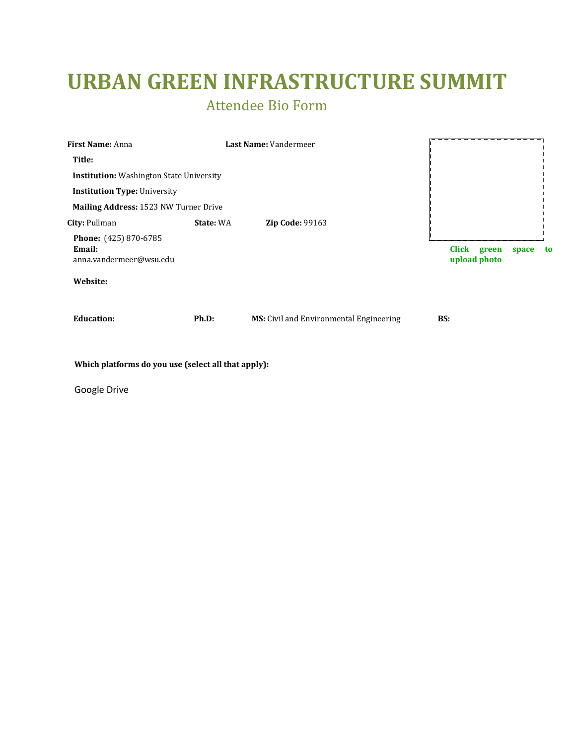## **URBAN GREEN INFRASTRUCTURE SUMMIT**

Attendee Bio Form

| First Name: Anna                                           |           | Last Name: Vandermeer                   |                                |       |    |
|------------------------------------------------------------|-----------|-----------------------------------------|--------------------------------|-------|----|
| Title:                                                     |           |                                         |                                |       |    |
| <b>Institution:</b> Washington State University            |           |                                         |                                |       |    |
| <b>Institution Type: University</b>                        |           |                                         |                                |       |    |
| Mailing Address: 1523 NW Turner Drive                      |           |                                         |                                |       |    |
| City: Pullman                                              | State: WA | <b>Zip Code: 99163</b>                  |                                |       |    |
| Phone: (425) 870-6785<br>Email:<br>anna.vandermeer@wsu.edu |           |                                         | Click<br>green<br>upload photo | space | to |
| Website:                                                   |           |                                         |                                |       |    |
| <b>Education:</b>                                          | Ph.D:     | MS: Civil and Environmental Engineering | BS:                            |       |    |

**Which platforms do you use (select all that apply):**

Google Drive